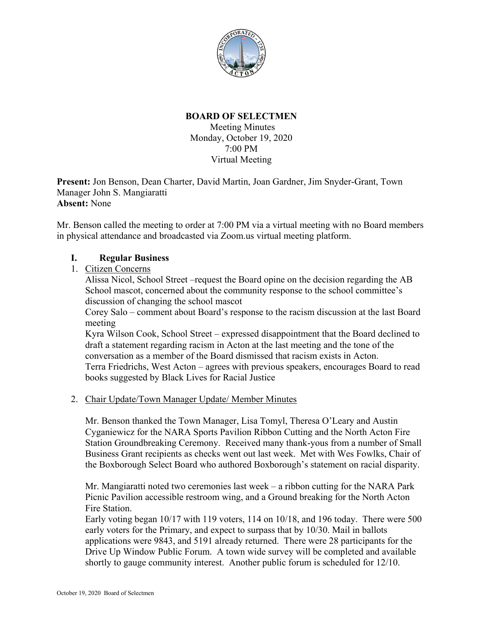

# **BOARD OF SELECTMEN**

Meeting Minutes Monday, October 19, 2020 7:00 PM Virtual Meeting

**Present:** Jon Benson, Dean Charter, David Martin, Joan Gardner, Jim Snyder-Grant, Town Manager John S. Mangiaratti **Absent:** None

Mr. Benson called the meeting to order at 7:00 PM via a virtual meeting with no Board members in physical attendance and broadcasted via Zoom.us virtual meeting platform.

## **I. Regular Business**

1. Citizen Concerns

Alissa Nicol, School Street –request the Board opine on the decision regarding the AB School mascot, concerned about the community response to the school committee's discussion of changing the school mascot

Corey Salo – comment about Board's response to the racism discussion at the last Board meeting

Kyra Wilson Cook, School Street – expressed disappointment that the Board declined to draft a statement regarding racism in Acton at the last meeting and the tone of the conversation as a member of the Board dismissed that racism exists in Acton. Terra Friedrichs, West Acton – agrees with previous speakers, encourages Board to read books suggested by Black Lives for Racial Justice

## 2. Chair Update/Town Manager Update/ Member Minutes

Mr. Benson thanked the Town Manager, Lisa Tomyl, Theresa O'Leary and Austin Cyganiewicz for the NARA Sports Pavilion Ribbon Cutting and the North Acton Fire Station Groundbreaking Ceremony. Received many thank-yous from a number of Small Business Grant recipients as checks went out last week. Met with Wes Fowlks, Chair of the Boxborough Select Board who authored Boxborough's statement on racial disparity.

Mr. Mangiaratti noted two ceremonies last week – a ribbon cutting for the NARA Park Picnic Pavilion accessible restroom wing, and a Ground breaking for the North Acton Fire Station.

Early voting began 10/17 with 119 voters, 114 on 10/18, and 196 today. There were 500 early voters for the Primary, and expect to surpass that by 10/30. Mail in ballots applications were 9843, and 5191 already returned. There were 28 participants for the Drive Up Window Public Forum. A town wide survey will be completed and available shortly to gauge community interest. Another public forum is scheduled for 12/10.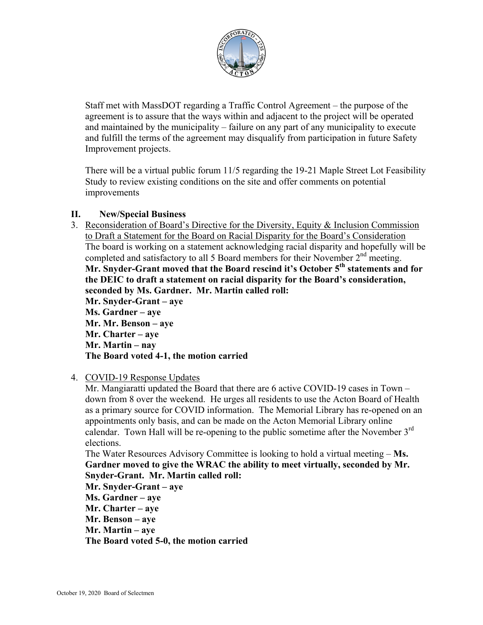

Staff met with MassDOT regarding a Traffic Control Agreement – the purpose of the agreement is to assure that the ways within and adjacent to the project will be operated and maintained by the municipality – failure on any part of any municipality to execute and fulfill the terms of the agreement may disqualify from participation in future Safety Improvement projects.

There will be a virtual public forum 11/5 regarding the 19-21 Maple Street Lot Feasibility Study to review existing conditions on the site and offer comments on potential improvements

## **II. New/Special Business**

3. Reconsideration of Board's Directive for the Diversity, Equity & Inclusion Commission to Draft a Statement for the Board on Racial Disparity for the Board's Consideration The board is working on a statement acknowledging racial disparity and hopefully will be completed and satisfactory to all 5 Board members for their November 2<sup>nd</sup> meeting. **Mr. Snyder-Grant moved that the Board rescind it's October 5th statements and for the DEIC to draft a statement on racial disparity for the Board's consideration, seconded by Ms. Gardner. Mr. Martin called roll: Mr. Snyder-Grant – aye Ms. Gardner – aye Mr. Mr. Benson – aye Mr. Charter – aye Mr. Martin – nay The Board voted 4-1, the motion carried**

## 4. COVID-19 Response Updates

Mr. Mangiaratti updated the Board that there are 6 active COVID-19 cases in Town – down from 8 over the weekend. He urges all residents to use the Acton Board of Health as a primary source for COVID information. The Memorial Library has re-opened on an appointments only basis, and can be made on the Acton Memorial Library online calendar. Town Hall will be re-opening to the public sometime after the November  $3<sup>rd</sup>$ elections.

The Water Resources Advisory Committee is looking to hold a virtual meeting – **Ms. Gardner moved to give the WRAC the ability to meet virtually, seconded by Mr. Snyder-Grant. Mr. Martin called roll:**

**Mr. Snyder-Grant – aye Ms. Gardner – aye Mr. Charter – aye Mr. Benson – aye Mr. Martin – aye The Board voted 5-0, the motion carried**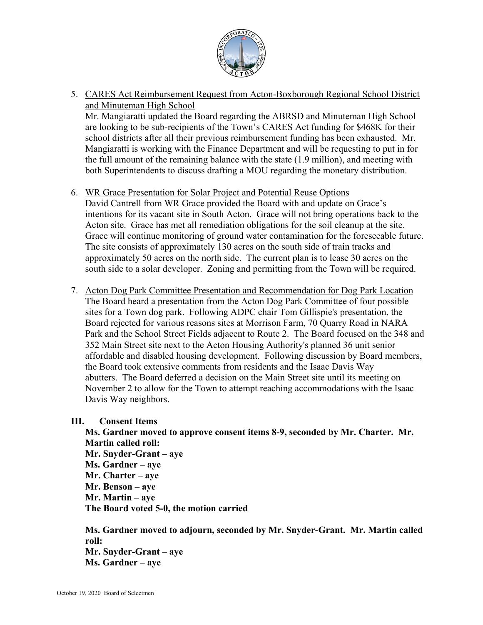

5. CARES Act Reimbursement Request from Acton-Boxborough Regional School District and Minuteman High School

Mr. Mangiaratti updated the Board regarding the ABRSD and Minuteman High School are looking to be sub-recipients of the Town's CARES Act funding for \$468K for their school districts after all their previous reimbursement funding has been exhausted. Mr. Mangiaratti is working with the Finance Department and will be requesting to put in for the full amount of the remaining balance with the state (1.9 million), and meeting with both Superintendents to discuss drafting a MOU regarding the monetary distribution.

6. WR Grace Presentation for Solar Project and Potential Reuse Options

David Cantrell from WR Grace provided the Board with and update on Grace's intentions for its vacant site in South Acton. Grace will not bring operations back to the Acton site. Grace has met all remediation obligations for the soil cleanup at the site. Grace will continue monitoring of ground water contamination for the foreseeable future. The site consists of approximately 130 acres on the south side of train tracks and approximately 50 acres on the north side. The current plan is to lease 30 acres on the south side to a solar developer. Zoning and permitting from the Town will be required.

7. Acton Dog Park Committee Presentation and Recommendation for Dog Park Location The Board heard a presentation from the Acton Dog Park Committee of four possible sites for a Town dog park. Following ADPC chair Tom Gillispie's presentation, the Board rejected for various reasons sites at Morrison Farm, 70 Quarry Road in NARA Park and the School Street Fields adjacent to Route 2. The Board focused on the 348 and 352 Main Street site next to the Acton Housing Authority's planned 36 unit senior affordable and disabled housing development. Following discussion by Board members, the Board took extensive comments from residents and the Isaac Davis Way abutters. The Board deferred a decision on the Main Street site until its meeting on November 2 to allow for the Town to attempt reaching accommodations with the Isaac Davis Way neighbors.

## **III. Consent Items**

**Ms. Gardner moved to approve consent items 8-9, seconded by Mr. Charter. Mr. Martin called roll: Mr. Snyder-Grant – aye Ms. Gardner – aye Mr. Charter – aye Mr. Benson – aye Mr. Martin – aye The Board voted 5-0, the motion carried**

**Ms. Gardner moved to adjourn, seconded by Mr. Snyder-Grant. Mr. Martin called roll: Mr. Snyder-Grant – aye Ms. Gardner – aye**